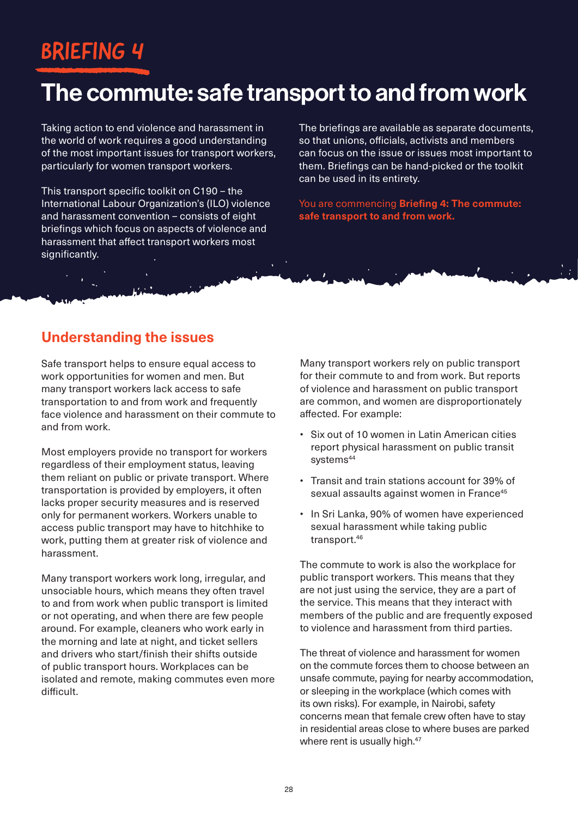# BRIEFING 4

# The commute: safe transport to and from work

Taking action to end violence and harassment in the world of work requires a good understanding of the most important issues for transport workers, particularly for women transport workers.

This transport specific toolkit on C190 – the International Labour Organization's (ILO) violence and harassment convention – consists of eight briefings which focus on aspects of violence and harassment that affect transport workers most significantly.

The briefings are available as separate documents, so that unions, officials, activists and members can focus on the issue or issues most important to them. Briefings can be hand-picked or the toolkit can be used in its entirety.

You are commencing **Briefing 4: The commute: safe transport to and from work.**

### **Understanding the issues**

Safe transport helps to ensure equal access to work opportunities for women and men. But many transport workers lack access to safe transportation to and from work and frequently face violence and harassment on their commute to and from work.

Most employers provide no transport for workers regardless of their employment status, leaving them reliant on public or private transport. Where transportation is provided by employers, it often lacks proper security measures and is reserved only for permanent workers. Workers unable to access public transport may have to hitchhike to work, putting them at greater risk of violence and harassment.

Many transport workers work long, irregular, and unsociable hours, which means they often travel to and from work when public transport is limited or not operating, and when there are few people around. For example, cleaners who work early in the morning and late at night, and ticket sellers and drivers who start/finish their shifts outside of public transport hours. Workplaces can be isolated and remote, making commutes even more difficult.

Many transport workers rely on public transport for their commute to and from work. But reports of violence and harassment on public transport are common, and women are disproportionately affected. For example:

- Six out of 10 women in Latin American cities report physical harassment on public transit systems<sup>44</sup>
- Transit and train stations account for 39% of sexual assaults against women in France<sup>45</sup>
- In Sri Lanka, 90% of women have experienced sexual harassment while taking public transport.<sup>46</sup>

The commute to work is also the workplace for public transport workers. This means that they are not just using the service, they are a part of the service. This means that they interact with members of the public and are frequently exposed to violence and harassment from third parties.

The threat of violence and harassment for women on the commute forces them to choose between an unsafe commute, paying for nearby accommodation, or sleeping in the workplace (which comes with its own risks). For example, in Nairobi, safety concerns mean that female crew often have to stay in residential areas close to where buses are parked where rent is usually high.<sup>47</sup>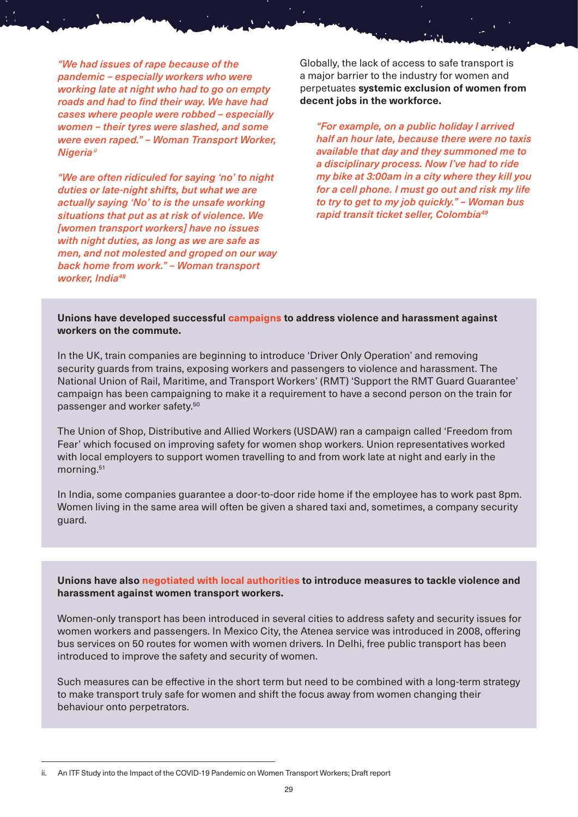*"We had issues of rape because of the pandemic – especially workers who were working late at night who had to go on empty roads and had to find their way. We have had cases where people were robbed – especially women – their tyres were slashed, and some were even raped." – Woman Transport Worker, Nigeriaii*

*"We are often ridiculed for saying 'no' to night duties or late-night shifts, but what we are actually saying 'No' to is the unsafe working situations that put as at risk of violence. We [women transport workers] have no issues with night duties, as long as we are safe as men, and not molested and groped on our way back home from work." – Woman transport worker, India48*

Globally, the lack of access to safe transport is a major barrier to the industry for women and perpetuates **systemic exclusion of women from decent jobs in the workforce.**

*"For example, on a public holiday I arrived half an hour late, because there were no taxis available that day and they summoned me to a disciplinary process. Now I've had to ride my bike at 3:00am in a city where they kill you for a cell phone. I must go out and risk my life to try to get to my job quickly." – Woman bus rapid transit ticket seller, Colombia49*

#### **Unions have developed successful campaigns to address violence and harassment against workers on the commute.**

In the UK, train companies are beginning to introduce 'Driver Only Operation' and removing security guards from trains, exposing workers and passengers to violence and harassment. The National Union of Rail, Maritime, and Transport Workers' (RMT) 'Support the RMT Guard Guarantee' campaign has been campaigning to make it a requirement to have a second person on the train for passenger and worker safety.50

The Union of Shop, Distributive and Allied Workers (USDAW) ran a campaign called 'Freedom from Fear' which focused on improving safety for women shop workers. Union representatives worked with local employers to support women travelling to and from work late at night and early in the morning.51

In India, some companies guarantee a door-to-door ride home if the employee has to work past 8pm. Women living in the same area will often be given a shared taxi and, sometimes, a company security guard.

**Unions have also negotiated with local authorities to introduce measures to tackle violence and harassment against women transport workers.**

Women-only transport has been introduced in several cities to address safety and security issues for women workers and passengers. In Mexico City, the Atenea service was introduced in 2008, offering bus services on 50 routes for women with women drivers. In Delhi, free public transport has been introduced to improve the safety and security of women.

Such measures can be effective in the short term but need to be combined with a long-term strategy to make transport truly safe for women and shift the focus away from women changing their behaviour onto perpetrators.

ii. An ITF Study into the Impact of the COVID-19 Pandemic on Women Transport Workers; Draft report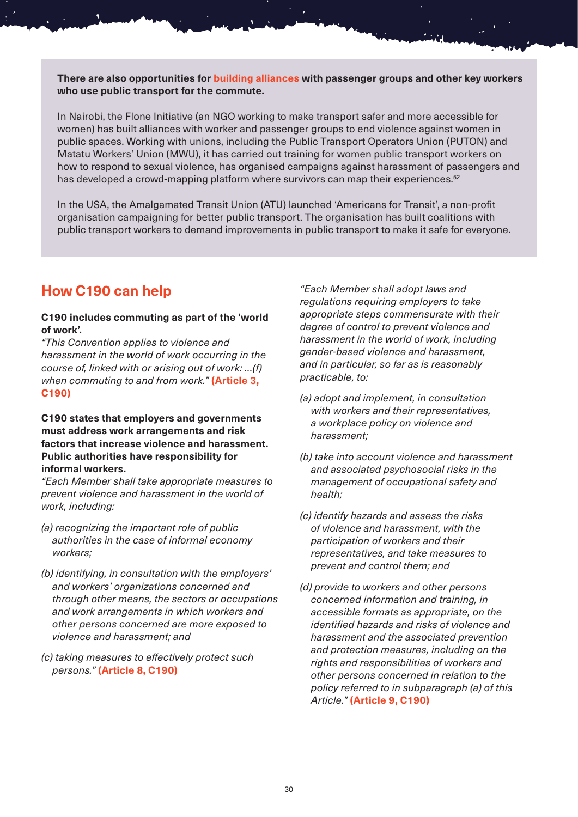**There are also opportunities for building alliances with passenger groups and other key workers who use public transport for the commute.**

In Nairobi, the Flone Initiative (an NGO working to make transport safer and more accessible for women) has built alliances with worker and passenger groups to end violence against women in public spaces. Working with unions, including the Public Transport Operators Union (PUTON) and Matatu Workers' Union (MWU), it has carried out training for women public transport workers on how to respond to sexual violence, has organised campaigns against harassment of passengers and has developed a crowd-mapping platform where survivors can map their experiences.<sup>52</sup>

In the USA, the Amalgamated Transit Union (ATU) launched 'Americans for Transit', a non-profit organisation campaigning for better public transport. The organisation has built coalitions with public transport workers to demand improvements in public transport to make it safe for everyone.

### **How C190 can help**

#### **C190 includes commuting as part of the 'world of work'.**

*"This Convention applies to violence and harassment in the world of work occurring in the course of, linked with or arising out of work: …(f) when commuting to and from work."* **(Article 3, C190)**

#### **C190 states that employers and governments must address work arrangements and risk factors that increase violence and harassment. Public authorities have responsibility for informal workers.**

*"Each Member shall take appropriate measures to prevent violence and harassment in the world of work, including:*

- *(a) recognizing the important role of public authorities in the case of informal economy workers;*
- *(b) identifying, in consultation with the employers' and workers' organizations concerned and through other means, the sectors or occupations and work arrangements in which workers and other persons concerned are more exposed to violence and harassment; and*
- *(c) taking measures to effectively protect such persons."* **(Article 8, C190)**

*"Each Member shall adopt laws and regulations requiring employers to take appropriate steps commensurate with their degree of control to prevent violence and harassment in the world of work, including gender-based violence and harassment, and in particular, so far as is reasonably practicable, to:*

- *(a) adopt and implement, in consultation with workers and their representatives, a workplace policy on violence and harassment;*
- *(b) take into account violence and harassment and associated psychosocial risks in the management of occupational safety and health;*
- *(c) identify hazards and assess the risks of violence and harassment, with the participation of workers and their representatives, and take measures to prevent and control them; and*
- *(d) provide to workers and other persons concerned information and training, in accessible formats as appropriate, on the identified hazards and risks of violence and harassment and the associated prevention and protection measures, including on the rights and responsibilities of workers and other persons concerned in relation to the policy referred to in subparagraph (a) of this Article."* **(Article 9, C190)**